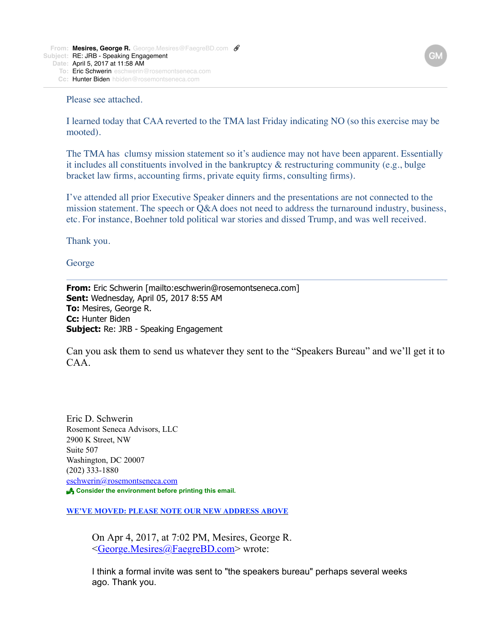Please see attached.

I learned today that CAA reverted to the TMA last Friday indicating NO (so this exercise may be mooted).

The TMA has clumsy mission statement so it's audience may not have been apparent. Essentially it includes all constituents involved in the bankruptcy & restructuring community (e.g., bulge bracket law firms, accounting firms, private equity firms, consulting firms).

I've attended all prior Executive Speaker dinners and the presentations are not connected to the mission statement. The speech or Q&A does not need to address the turnaround industry, business, etc. For instance, Boehner told political war stories and dissed Trump, and was well received.

Thank you.

George

**From:** Eric Schwerin [mailto:eschwerin@rosemontseneca.com] **Sent:** Wednesday, April 05, 2017 8:55 AM **To:** Mesires, George R. **Cc:** Hunter Biden **Subject:** Re: JRB - Speaking Engagement

Can you ask them to send us whatever they sent to the "Speakers Bureau" and we'll get it to CAA.

Eric D. Schwerin Rosemont Seneca Advisors, LLC 2900 K Street, NW Suite 507 Washington, DC 20007 (202) 333-1880 [eschwerin@rosemontseneca.com](x-msg://59/eschwerin@obblaw.com) ! **Consider the environment before printing this email.**

**WE'VE MOVED: PLEASE NOTE OUR NEW ADDRESS ABOVE**

On Apr 4, 2017, at 7:02 PM, Mesires, George R. [<George.Mesires@FaegreBD.com>](mailto:George.Mesires@FaegreBD.com) wrote:

I think a formal invite was sent to "the speakers bureau" perhaps several weeks ago. Thank you.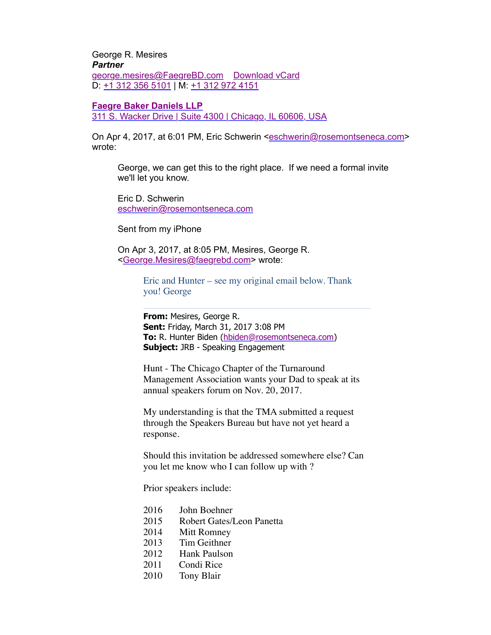George R. Mesires *Partner* [george.mesires@FaegreBD.com](mailto:george.mesires@FaegreBD.com) [Download vCard](http://www.faegrebd.com/vcard/george.mesires.vcf) D: [+1 312 356 5101](tel:+1%20312%20356%205101) | M: [+1 312 972 4151](tel:+1%20312%20972%204151)

## **[Faegre Baker Daniels LLP](http://www.faegrebd.com/)**

[311 S. Wacker Drive | Suite 4300 | Chicago, IL 60606, USA](x-apple-data-detectors://10/1)

On Apr 4, 2017, at 6:01 PM, Eric Schwerin [<eschwerin@rosemontseneca.com](mailto:eschwerin@rosemontseneca.com)> wrote:

George, we can get this to the right place. If we need a formal invite we'll let you know.

Eric D. Schwerin [eschwerin@rosemontseneca.com](mailto:eschwerin@rosemontseneca.com)

Sent from my iPhone

On Apr 3, 2017, at 8:05 PM, Mesires, George R. [<George.Mesires@faegrebd.com>](mailto:George.Mesires@faegrebd.com) wrote:

> Eric and Hunter – see my original email below. Thank you! George

**From:** Mesires, George R. **Sent:** Friday, March 31, 2017 3:08 PM **To:** R. Hunter Biden ([hbiden@rosemontseneca.com](mailto:hbiden@rosemontseneca.com)) **Subject:** JRB - Speaking Engagement

Hunt - The Chicago Chapter of the Turnaround Management Association wants your Dad to speak at its annual speakers forum on Nov. 20, 2017.

My understanding is that the TMA submitted a request through the Speakers Bureau but have not yet heard a response.

Should this invitation be addressed somewhere else? Can you let me know who I can follow up with ?

Prior speakers include:

- 2016 John Boehner
- 2015 Robert Gates/Leon Panetta
- 2014 Mitt Romney
- 2013 Tim Geithner
- 2012 Hank Paulson
- 2011 Condi Rice
- 2010 Tony Blair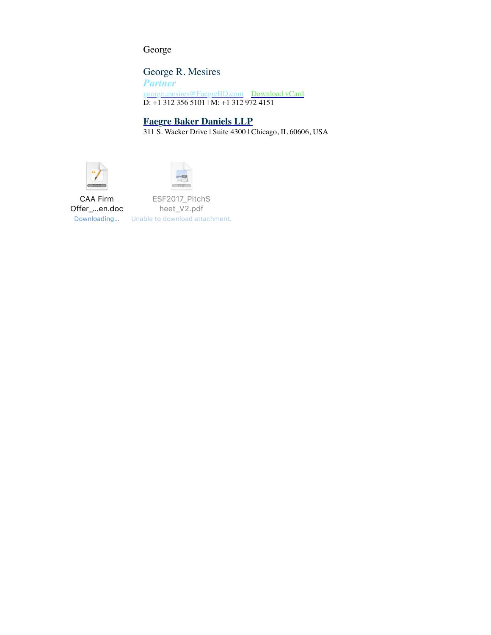George

George R. Mesires *Partner* [george.mesires@FaegreBD.com](mailto:george.mesires@FaegreBD.com) [Download vCard](https://www.faegrebd.com/vcard/george.mesires.vcf) D: +1 312 356 5101 | M: +1 312 972 4151

## **[Faegre Baker Daniels LLP](https://www.faegrebd.com/)**

311 S. Wacker Drive | Suite 4300 | Chicago, IL 60606, USA





CAA Firm Offer\_…en.doc Downloading…

ESF2017\_PitchS heet\_V2.pdf Unable to download attachment.